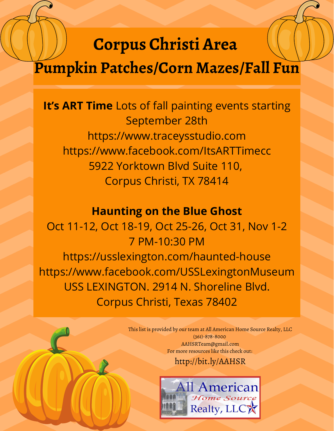# **Corpus Christi Area Pumpkin Patches/Corn Mazes/Fall Fun**

**It's ART Time** Lots of fall painting events starting September 28th https://www.traceysstudio.com https://www.facebook.com/ItsARTTimecc 5922 Yorktown Blvd Suite 110, Corpus Christi, TX 78414

### **Haunting on the Blue Ghost**

Oct 11-12, Oct 18-19, Oct 25-26, Oct 31, Nov 1-2 7 PM-10:30 PM https://usslexington.com/haunted-house https://www.facebook.com/USSLexingtonMuseum USS LEXINGTON. 2914 N. Shoreline Blvd. Corpus Christi, Texas 78402

> This list is provided by our team at All American Home Source Realty, LLC (361)-878-8000 AAHSRTeam@gmail.com For more resources like this check out:

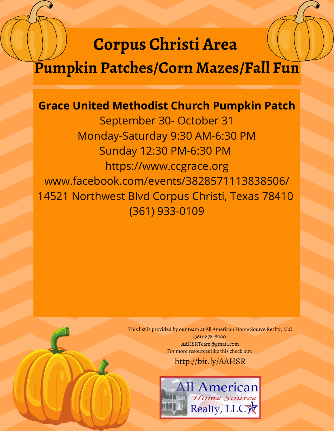# **Corpus Christi Area Pumpkin Patches/Corn Mazes/Fall Fun**

## **Grace United Methodist Church Pumpkin Patch**

September 30- October 31 Monday-Saturday 9:30 AM-6:30 PM Sunday 12:30 PM-6:30 PM https://www.ccgrace.org www.facebook.com/events/3828571113838506/ 14521 Northwest Blvd Corpus Christi, Texas 78410 (361) 933-0109

> This list is provided by our team at All American Home Source Realty, LLC (361)-878-8000 AAHSRTeam@gmail.com For more resources like this check out:

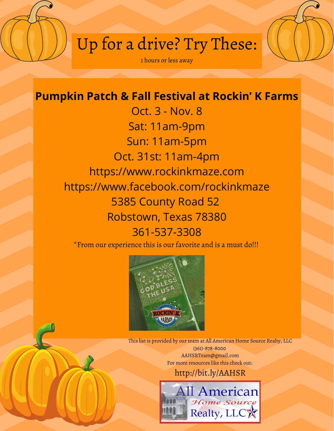## Up for a drive? Try These:

1 hours or less away

### **Pumpkin Patch & Fall Festival at Rockin' K Farms**

Oct. 3 - Nov. 8 Sat: 11am-9pm Sun: 11am-5pm Oct. 31st: 11am-4pm https://www.rockinkmaze.com https://www.facebook.com/rockinkmaze 5385 County Road 52 Robstown, Texas 78380 361-537-3308

\*From our experience this is our favorite and is a must do!!!



This list is provided by our team at All American Home Source Realty, LLC (361)-878-8000 AAHSRTeam@gmail.com For more resources like this check out:

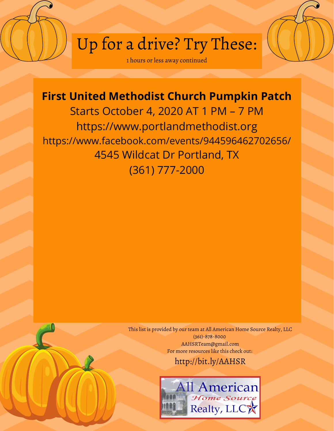## Up for a drive? Try These:

1 hours or less away continued

**First United Methodist Church Pumpkin Patch** Starts October 4, 2020 AT 1 PM – 7 PM https://www.portlandmethodist.org https://www.facebook.com/events/944596462702656/ 4545 Wildcat Dr Portland, TX (361) 777-2000

> This list is provided by our team at All American Home Source Realty, LLC (361)-878-8000 AAHSRTeam@gmail.com For more resources like this check out: